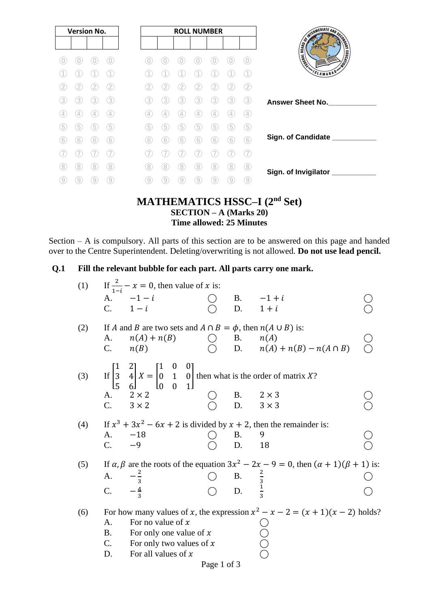| <b>Version No.</b> |   |   |                   | <b>ROLL NUMBER</b> |   |   |   |   |   | <b>SINGLET AND SCRIPTION OF REAL PROPERTY.</b> |                         |
|--------------------|---|---|-------------------|--------------------|---|---|---|---|---|------------------------------------------------|-------------------------|
|                    |   |   |                   |                    |   |   |   |   |   |                                                |                         |
|                    |   |   | O.                |                    |   |   |   |   |   | 0)                                             |                         |
|                    |   |   |                   |                    |   |   |   |   |   |                                                | SLAMABAD*               |
|                    |   |   | 2                 |                    |   |   |   |   |   | 2                                              |                         |
| 3                  | 3 | 3 | 3                 | 3                  | 3 | 3 | 3 | 3 | 3 | (3)                                            | <b>Answer Sheet No.</b> |
|                    |   | 4 | $\left( 4\right)$ | 4                  | 4 | 4 | 4 |   |   | (4)                                            |                         |
| 5                  | 5 | 5 | 5                 | 5                  | 5 | 5 | 5 | 5 | 5 | 5                                              |                         |
| 6                  | 6 | 6 | 6                 | 6                  | 6 | 6 | 6 | 6 | 6 | 6                                              | Sign. of Candidate ___  |
|                    |   |   |                   |                    |   |   |   |   |   |                                                |                         |
| 8                  | 8 | 8 | 8                 | 8                  | 8 | 8 | 8 | 8 | 8 | (8                                             | Sign. of Invigilator    |
| 9                  |   |   | 9                 | 9                  | g |   |   |   |   | 9                                              |                         |

### **MATHEMATICS HSSC–I (2nd Set) SECTION – A (Marks 20) Time allowed: 25 Minutes**

Section – A is compulsory. All parts of this section are to be answered on this page and handed over to the Centre Superintendent. Deleting/overwriting is not allowed. **Do not use lead pencil.**

### **Q.1 Fill the relevant bubble for each part. All parts carry one mark.**

| (1) |             | If $\frac{2}{1-i} - x = 0$ , then value of x is:                                                                                                                     |     |                                      |                                                                                                              |  |
|-----|-------------|----------------------------------------------------------------------------------------------------------------------------------------------------------------------|-----|--------------------------------------|--------------------------------------------------------------------------------------------------------------|--|
|     |             | A. $-1-i$                                                                                                                                                            |     |                                      | B. $-1+i$                                                                                                    |  |
|     |             | C. $1-i$                                                                                                                                                             |     | D.                                   | $1+i$                                                                                                        |  |
| (2) |             | If A and B are two sets and $A \cap B = \phi$ , then $n(A \cup B)$ is:                                                                                               |     |                                      |                                                                                                              |  |
|     | A.          | $n(A) + n(B)$                                                                                                                                                        | ( ) |                                      | B. $n(A)$                                                                                                    |  |
|     |             | C. $n(B)$                                                                                                                                                            |     |                                      | D. $n(A) + n(B) - n(A \cap B)$                                                                               |  |
|     |             |                                                                                                                                                                      |     |                                      |                                                                                                              |  |
| (3) |             | If $\begin{bmatrix} 1 & 2 \\ 3 & 4 \\ 5 & 6 \end{bmatrix} X = \begin{bmatrix} 1 & 0 & 0 \\ 0 & 1 & 0 \\ 0 & 0 & 1 \end{bmatrix}$ then what is the order of matrix X? |     |                                      |                                                                                                              |  |
|     |             | A. $2 \times 2$                                                                                                                                                      |     |                                      | B. $2 \times 3$                                                                                              |  |
|     |             | C. $3 \times 2$                                                                                                                                                      |     | D.                                   | $3 \times 3$                                                                                                 |  |
|     |             |                                                                                                                                                                      |     |                                      | If $x^3 + 3x^2 - 6x + 2$ is divided by $x + 2$ , then the remainder is:                                      |  |
| (4) | A.          | $-18$                                                                                                                                                                |     | <b>B.</b>                            | 9                                                                                                            |  |
|     | $C_{\cdot}$ | $-9$                                                                                                                                                                 |     | D.                                   | 18                                                                                                           |  |
|     |             |                                                                                                                                                                      |     |                                      |                                                                                                              |  |
| (5) |             |                                                                                                                                                                      |     |                                      | If $\alpha$ , $\beta$ are the roots of the equation $3x^2 - 2x - 9 = 0$ , then $(\alpha + 1)(\beta + 1)$ is: |  |
|     | A.          |                                                                                                                                                                      |     |                                      |                                                                                                              |  |
|     | C.          | $\frac{2}{3}$<br>$\frac{4}{3}$                                                                                                                                       |     | B. $\frac{2}{3}$<br>D. $\frac{1}{3}$ |                                                                                                              |  |
| (6) |             |                                                                                                                                                                      |     |                                      | For how many values of x, the expression $x^2 - x - 2 = (x + 1)(x - 2)$ holds?                               |  |
|     | A.          | For no value of $x$                                                                                                                                                  |     |                                      |                                                                                                              |  |
|     | B.          | For only one value of $x$                                                                                                                                            |     |                                      | U<br>0<br>0<br>0                                                                                             |  |
|     |             | C. For only two values of $x$                                                                                                                                        |     |                                      |                                                                                                              |  |
|     | D.          | For all values of $x$                                                                                                                                                |     |                                      |                                                                                                              |  |

Page 1 of 3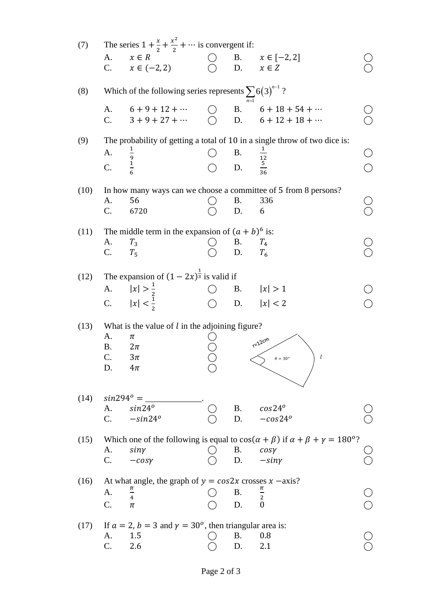| (7)  |                      | The series $1 + \frac{x}{2} + \frac{x^2}{2} + \cdots$ is convergent if:   |               |                                         |                                                                                                           |  |
|------|----------------------|---------------------------------------------------------------------------|---------------|-----------------------------------------|-----------------------------------------------------------------------------------------------------------|--|
|      | A.<br>C <sub>1</sub> | $x \in R$<br>$x \in (-2, 2)$                                              |               |                                         | B. $x \in [-2, 2]$<br>D. $x \in Z$                                                                        |  |
| (8)  |                      | Which of the following series represents $\sum 6(3)^{n-1}$ ?              |               |                                         |                                                                                                           |  |
|      | A.                   | $6+9+12+\cdots$<br>C. $3+9+27+\cdots$ 0                                   | $\bigcirc$ B. |                                         | $6 + 18 + 54 + \cdots$<br>D. $6 + 12 + 18 + \cdots$                                                       |  |
| (9)  |                      |                                                                           |               |                                         | The probability of getting a total of 10 in a single throw of two dice is:                                |  |
|      | A.                   | $\frac{9}{1}$                                                             |               | <b>B.</b>                               |                                                                                                           |  |
|      | C.                   |                                                                           |               | B. $\frac{12}{12}$<br>D. $\frac{5}{36}$ |                                                                                                           |  |
| (10) |                      |                                                                           |               |                                         | In how many ways can we choose a committee of 5 from 8 persons?                                           |  |
|      | A.<br>C.             | 56<br>6720                                                                |               | B.<br>D.                                | 336<br>6                                                                                                  |  |
|      |                      |                                                                           |               |                                         |                                                                                                           |  |
| (11) |                      | The middle term in the expansion of $(a + b)^6$ is:                       |               |                                         |                                                                                                           |  |
|      | A.<br>C.             | $T_3$<br>$T_5$                                                            |               | <b>B.</b><br>D.                         | $T_{4}$<br>$T_6$                                                                                          |  |
|      |                      |                                                                           |               |                                         |                                                                                                           |  |
|      |                      | (12) The expansion of $(1 - 2x)^{\frac{1}{3}}$ is valid if                |               |                                         |                                                                                                           |  |
|      | A.                   | $ x  > \frac{1}{2}$                                                       |               |                                         | B. $ x  > 1$                                                                                              |  |
|      |                      | C. $ x  < \frac{1}{2}$                                                    |               |                                         | D. $ x  < 2$                                                                                              |  |
| (13) |                      | What is the value of $l$ in the adjoining figure?                         |               |                                         |                                                                                                           |  |
|      | A.                   | π                                                                         |               |                                         | $r=12cm$                                                                                                  |  |
|      | <b>B.</b><br>C.      | $2\pi$<br>$3\pi$                                                          |               |                                         | l                                                                                                         |  |
|      | D.                   | $4\pi$                                                                    |               |                                         |                                                                                                           |  |
|      |                      |                                                                           |               |                                         |                                                                                                           |  |
| (14) | $sin294^\circ =$     |                                                                           |               |                                         |                                                                                                           |  |
|      | A.<br>$C_{\cdot}$    | $sin24^o$<br>$-sin24^o$                                                   |               | <b>B.</b><br>D.                         | $cos24^o$<br>$-cos24^o$                                                                                   |  |
|      |                      |                                                                           |               |                                         |                                                                                                           |  |
| (15) |                      |                                                                           |               |                                         | Which one of the following is equal to $cos(\alpha + \beta)$ if $\alpha + \beta + \gamma = 180^{\circ}$ ? |  |
|      | A.<br>C.             | siny<br>$-cosy$                                                           |               | Β.                                      | cosy<br>D. $-siny$                                                                                        |  |
|      |                      |                                                                           |               |                                         |                                                                                                           |  |
| (16) |                      | At what angle, the graph of $y = cos2x$ crosses $x - axis$ ?              |               |                                         |                                                                                                           |  |
|      | A.                   | $\frac{\pi}{4}$                                                           |               | Β.                                      | $\frac{\pi}{2}$                                                                                           |  |
|      | C.                   | π                                                                         |               | D.                                      | $\overline{0}$                                                                                            |  |
| (17) |                      | If $a = 2$ , $b = 3$ and $\gamma = 30^{\circ}$ , then triangular area is: |               |                                         |                                                                                                           |  |
|      | A.                   | 1.5                                                                       |               | <b>B.</b>                               | 0.8                                                                                                       |  |
|      | C.                   | 2.6                                                                       |               | D.                                      | 2.1                                                                                                       |  |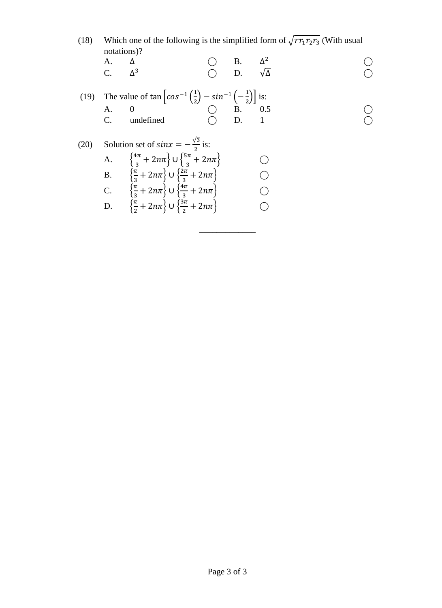| (18) | Which one of the following is the simplified form of $\sqrt{rr_1r_2r_3}$ (With usual |
|------|--------------------------------------------------------------------------------------|
|      | notations)?                                                                          |
|      |                                                                                      |

A. 
$$
\Delta
$$
 O B.  $\Delta^2$  O  
C.  $\Delta^3$  O D.  $\sqrt{\Delta}$  O

\_\_\_\_\_\_\_\_\_\_\_\_\_

(19) The value of 
$$
\tan \left[ cos^{-1} \left( \frac{1}{2} \right) - sin^{-1} \left( -\frac{1}{2} \right) \right]
$$
 is:  
\nA. 0  
\nC. undefined  
\nD. 1

(20) Solution set of 
$$
\sin x = -\frac{\sqrt{3}}{2}
$$
 is:  
\nA.  $\left\{ \frac{4\pi}{3} + 2n\pi \right\} \cup \left\{ \frac{5\pi}{3} + 2n\pi \right\}$   
\nB.  $\left\{ \frac{\pi}{3} + 2n\pi \right\} \cup \left\{ \frac{2\pi}{3} + 2n\pi \right\}$   
\nC.  $\left\{ \frac{\pi}{3} + 2n\pi \right\} \cup \left\{ \frac{4\pi}{3} + 2n\pi \right\}$   
\nD.  $\left\{ \frac{\pi}{2} + 2n\pi \right\} \cup \left\{ \frac{3\pi}{2} + 2n\pi \right\}$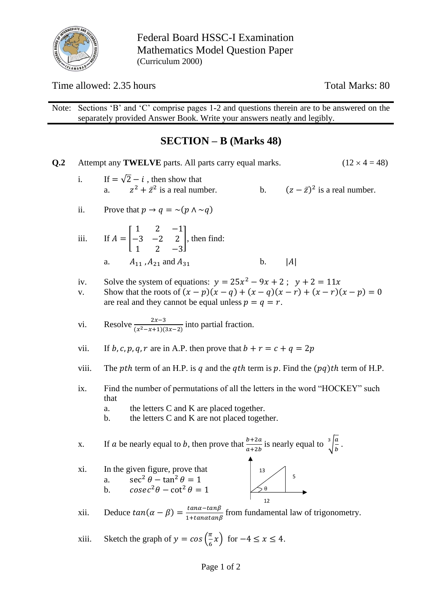

Federal Board HSSC-I Examination Mathematics Model Question Paper (Curriculum 2000)

Time allowed: 2.35 hours Total Marks: 80

Note: Sections 'B' and 'C' comprise pages 1-2 and questions therein are to be answered on the separately provided Answer Book. Write your answers neatly and legibly.

## **SECTION – B (Marks 48)**

| Q <sub>.2</sub> |                                                                                             | $(12 \times 4 = 48)$<br>Attempt any TWELVE parts. All parts carry equal marks.                                                                                                                                 |  |  |  |  |  |  |  |  |  |  |  |
|-----------------|---------------------------------------------------------------------------------------------|----------------------------------------------------------------------------------------------------------------------------------------------------------------------------------------------------------------|--|--|--|--|--|--|--|--|--|--|--|
|                 | i.                                                                                          | If $=\sqrt{2}-i$ , then show that<br>$z^2 + \bar{z}^2$ is a real number.<br>b. $(z - \bar{z})^2$ is a real number.<br>a.                                                                                       |  |  |  |  |  |  |  |  |  |  |  |
|                 | ii.                                                                                         | Prove that $p \to q = \sim (p \land \sim q)$                                                                                                                                                                   |  |  |  |  |  |  |  |  |  |  |  |
|                 | $\dddot{\mathbf{i}}$                                                                        | If $A = \begin{bmatrix} 1 & 2 & -1 \\ -3 & -2 & 2 \\ 1 & 2 & -3 \end{bmatrix}$ , then find:                                                                                                                    |  |  |  |  |  |  |  |  |  |  |  |
|                 |                                                                                             | $A_{11}$ , $A_{21}$ and $A_{31}$<br>$\mathbf b$ .<br> A <br>a.                                                                                                                                                 |  |  |  |  |  |  |  |  |  |  |  |
|                 | iv.<br>V.                                                                                   | Solve the system of equations: $y = 25x^2 - 9x + 2$ ; $y + 2 = 11x$<br>Show that the roots of $(x - p)(x - q) + (x - q)(x - r) + (x - r)(x - p) = 0$<br>are real and they cannot be equal unless $p = q = r$ . |  |  |  |  |  |  |  |  |  |  |  |
|                 | vi.                                                                                         | Resolve $\frac{2x-3}{(x^2-x+1)(3x-2)}$ into partial fraction.                                                                                                                                                  |  |  |  |  |  |  |  |  |  |  |  |
|                 | vii.                                                                                        | If b, c, p, q, r are in A.P. then prove that $b + r = c + q = 2p$                                                                                                                                              |  |  |  |  |  |  |  |  |  |  |  |
|                 | viii.                                                                                       | The <i>pth</i> term of an H.P. is q and the qth term is p. Find the $(pq)$ th term of H.P.                                                                                                                     |  |  |  |  |  |  |  |  |  |  |  |
|                 | ix.<br>Find the number of permutations of all the letters in the word "HOCKEY" such<br>that |                                                                                                                                                                                                                |  |  |  |  |  |  |  |  |  |  |  |
|                 |                                                                                             | the letters C and K are placed together.<br>a.<br>the letters C and K are not placed together.<br>b.                                                                                                           |  |  |  |  |  |  |  |  |  |  |  |
|                 | X.                                                                                          | If <i>a</i> be nearly equal to <i>b</i> , then prove that $\frac{b+2a}{a+2b}$ is nearly equal to $\sqrt[3]{\frac{a}{b}}$ .                                                                                     |  |  |  |  |  |  |  |  |  |  |  |
|                 | xi.                                                                                         | In the given figure, prove that<br>$\begin{array}{ c c }\n\hline\n&13\n\end{array}$<br>5<br>$\sec^2 \theta - \tan^2 \theta = 1$<br>a.<br>$cosec^2\theta - \cot^2\theta = 1$<br>$\leq_{\theta}$<br>b.           |  |  |  |  |  |  |  |  |  |  |  |
|                 | xii.                                                                                        | Deduce $tan(\alpha - \beta) = \frac{tan\alpha - tan\beta}{1 + tan\alpha tan\beta}$ from fundamental law of trigonometry.                                                                                       |  |  |  |  |  |  |  |  |  |  |  |
|                 | xiii.                                                                                       | Sketch the graph of $y = cos(\frac{\pi}{6}x)$ for $-4 \le x \le 4$ .                                                                                                                                           |  |  |  |  |  |  |  |  |  |  |  |
|                 |                                                                                             | Page 1 of 2                                                                                                                                                                                                    |  |  |  |  |  |  |  |  |  |  |  |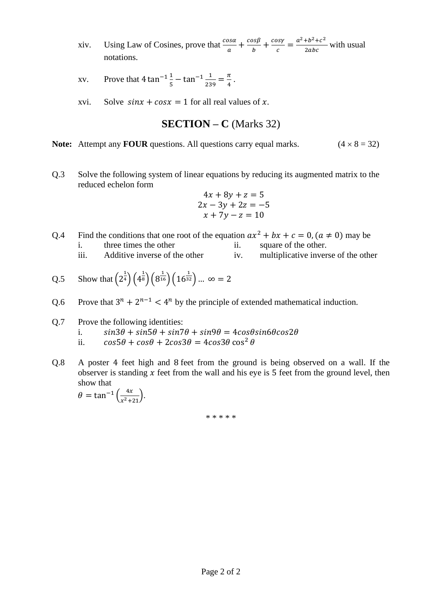xiv. Using Law of Cosines, prove that  $\frac{\cos \alpha}{a} + \frac{\cos \beta}{b}$  $\frac{\partial s\beta}{\partial}+\frac{cos\gamma}{c}$  $\frac{bsy}{c} = \frac{a^2 + b^2 + c^2}{2abc}$  $\frac{10+1}{2abc}$  with usual notations.

$$
xv. \qquad \text{Prove that } 4 \tan^{-1} \frac{1}{5} - \tan^{-1} \frac{1}{239} = \frac{\pi}{4} \, .
$$

xvi. Solve  $sin x + cos x = 1$  for all real values of x.

**SECTION – C** (Marks 32)

- **Note:** Attempt any **FOUR** questions. All questions carry equal marks.  $(4 \times 8 = 32)$
- Q.3 Solve the following system of linear equations by reducing its augmented matrix to the reduced echelon form

$$
4x + 8y + z = 5
$$
  
\n
$$
2x - 3y + 2z = -5
$$
  
\n
$$
x + 7y - z = 10
$$

- Q.4 Find the conditions that one root of the equation  $ax^2 + bx + c = 0$ ,  $(a \ne 0)$  may be i. three times the other ii. square of the other.
	- iii. Additive inverse of the other iv. multiplicative inverse of the other

Q.5 Show that 
$$
(2^{\frac{1}{4}})(4^{\frac{1}{8}})(8^{\frac{1}{16}})(16^{\frac{1}{32}}) \dots \infty = 2
$$

Q.6 Prove that  $3^n + 2^{n-1} < 4^n$  by the principle of extended mathematical induction.

#### Q.7 Prove the following identities:

- i.  $sin3\theta + sin5\theta + sin7\theta + sin9\theta = 4cos\theta sin6\theta cos2\theta$
- ii.  $\cos 5\theta + \cos \theta + 2\cos 3\theta = 4\cos 3\theta \cos^2 \theta$
- Q.8 A poster 4 feet high and 8 feet from the ground is being observed on a wall. If the observer is standing  $x$  feet from the wall and his eye is 5 feet from the ground level, then show that

 $\theta = \tan^{-1}\left(\frac{4x}{m^2}\right)$  $\frac{4\lambda}{x^2+21}$ .

\* \* \* \* \*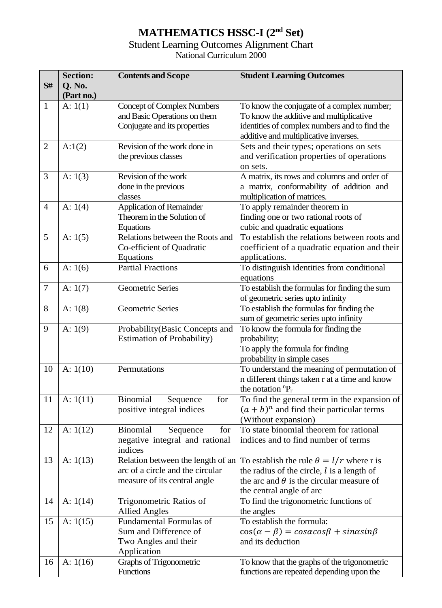## **MATHEMATICS HSSC-I (2nd Set)**

### Student Learning Outcomes Alignment Chart National Curriculum 2000

| S#             | <b>Section:</b><br>Q. No.<br>(Part no.) | <b>Contents and Scope</b>                                                                             | <b>Student Learning Outcomes</b>                                                                                                                                                |
|----------------|-----------------------------------------|-------------------------------------------------------------------------------------------------------|---------------------------------------------------------------------------------------------------------------------------------------------------------------------------------|
| $\mathbf{1}$   | A: 1(1)                                 | <b>Concept of Complex Numbers</b><br>and Basic Operations on them<br>Conjugate and its properties     | To know the conjugate of a complex number;<br>To know the additive and multiplicative<br>identities of complex numbers and to find the<br>additive and multiplicative inverses. |
| $\overline{2}$ | A:1(2)                                  | Revision of the work done in<br>the previous classes                                                  | Sets and their types; operations on sets<br>and verification properties of operations<br>on sets.                                                                               |
| 3              | A: $1(3)$                               | Revision of the work<br>done in the previous<br>classes                                               | A matrix, its rows and columns and order of<br>a matrix, conformability of addition and<br>multiplication of matrices.                                                          |
| $\overline{4}$ | A: 1(4)                                 | <b>Application of Remainder</b><br>Theorem in the Solution of<br>Equations                            | To apply remainder theorem in<br>finding one or two rational roots of<br>cubic and quadratic equations                                                                          |
| 5              | A: $1(5)$                               | Relations between the Roots and<br>Co-efficient of Quadratic<br>Equations                             | To establish the relations between roots and<br>coefficient of a quadratic equation and their<br>applications.                                                                  |
| 6              | A: $1(6)$                               | <b>Partial Fractions</b>                                                                              | To distinguish identities from conditional<br>equations                                                                                                                         |
| $\tau$         | A: $1(7)$                               | <b>Geometric Series</b>                                                                               | To establish the formulas for finding the sum<br>of geometric series upto infinity                                                                                              |
| 8              | A: 1(8)                                 | <b>Geometric Series</b>                                                                               | To establish the formulas for finding the<br>sum of geometric series upto infinity                                                                                              |
| 9              | A: $1(9)$                               | Probability (Basic Concepts and<br><b>Estimation of Probability)</b>                                  | To know the formula for finding the<br>probability;<br>To apply the formula for finding<br>probability in simple cases                                                          |
| 10             | A: $1(10)$                              | Permutations                                                                                          | To understand the meaning of permutation of<br>n different things taken r at a time and know<br>the notation ${}^{n}P_{r}$                                                      |
| 11             | A: $1(11)$                              | <b>Binomial</b><br>for<br>Sequence<br>positive integral indices                                       | To find the general term in the expansion of<br>$(a + b)^n$ and find their particular terms<br>(Without expansion)                                                              |
| 12             | A: $1(12)$                              | Binomial<br>Sequence<br>for<br>negative integral and rational<br>indices                              | To state binomial theorem for rational<br>indices and to find number of terms                                                                                                   |
| 13             | A: $1(13)$                              | Relation between the length of an<br>arc of a circle and the circular<br>measure of its central angle | To establish the rule $\theta = l/r$ where r is<br>the radius of the circle, $l$ is a length of<br>the arc and $\theta$ is the circular measure of<br>the central angle of arc  |
| 14             | A: $1(14)$                              | Trigonometric Ratios of<br><b>Allied Angles</b>                                                       | To find the trigonometric functions of<br>the angles                                                                                                                            |
| 15             | A: $1(15)$                              | Fundamental Formulas of<br>Sum and Difference of<br>Two Angles and their<br>Application               | To establish the formula:<br>$cos(\alpha - \beta) = cos\alpha cos\beta + sin\alpha sin\beta$<br>and its deduction                                                               |
| 16             | A: $1(16)$                              | Graphs of Trigonometric<br>Functions                                                                  | To know that the graphs of the trigonometric<br>functions are repeated depending upon the                                                                                       |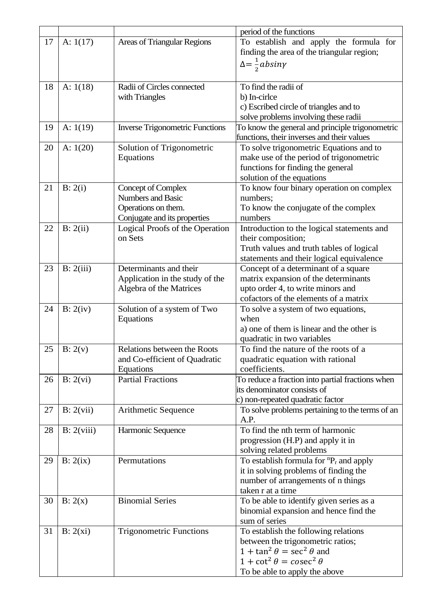|    |            |                                        | period of the functions                                                      |
|----|------------|----------------------------------------|------------------------------------------------------------------------------|
| 17 | A: $1(17)$ | <b>Areas of Triangular Regions</b>     | To establish and apply the formula for                                       |
|    |            |                                        | finding the area of the triangular region;                                   |
|    |            |                                        | $\Delta = \frac{1}{2}$ absiny                                                |
|    |            |                                        |                                                                              |
| 18 | A: $1(18)$ | Radii of Circles connected             | To find the radii of                                                         |
|    |            | with Triangles                         | b) In-cirlce                                                                 |
|    |            |                                        | c) Escribed circle of triangles and to                                       |
|    |            |                                        | solve problems involving these radii                                         |
| 19 | A: $1(19)$ | <b>Inverse Trigonometric Functions</b> | To know the general and principle trigonometric                              |
|    |            |                                        | functions, their inverses and their values                                   |
| 20 | A: $1(20)$ | Solution of Trigonometric              | To solve trigonometric Equations and to                                      |
|    |            | Equations                              | make use of the period of trigonometric                                      |
|    |            |                                        | functions for finding the general                                            |
|    |            |                                        | solution of the equations                                                    |
| 21 | B: 2(i)    | <b>Concept of Complex</b>              | To know four binary operation on complex                                     |
|    |            | <b>Numbers and Basic</b>               | numbers;                                                                     |
|    |            | Operations on them.                    | To know the conjugate of the complex                                         |
|    |            | Conjugate and its properties           | numbers                                                                      |
| 22 | B: 2(ii)   | Logical Proofs of the Operation        | Introduction to the logical statements and                                   |
|    |            | on Sets                                | their composition;                                                           |
|    |            |                                        | Truth values and truth tables of logical                                     |
|    |            |                                        | statements and their logical equivalence                                     |
| 23 | B: 2(iii)  | Determinants and their                 | Concept of a determinant of a square                                         |
|    |            | Application in the study of the        | matrix expansion of the determinants                                         |
|    |            | Algebra of the Matrices                | upto order 4, to write minors and                                            |
|    |            |                                        | cofactors of the elements of a matrix                                        |
| 24 | B: 2(iv)   | Solution of a system of Two            | To solve a system of two equations,                                          |
|    |            | Equations                              | when                                                                         |
|    |            |                                        | a) one of them is linear and the other is                                    |
|    |            |                                        | quadratic in two variables                                                   |
| 25 | B: 2(v)    | Relations between the Roots            | To find the nature of the roots of a                                         |
|    |            | and Co-efficient of Quadratic          | quadratic equation with rational                                             |
|    |            | Equations                              | coefficients.                                                                |
| 26 | B: 2(vi)   | <b>Partial Fractions</b>               | To reduce a fraction into partial fractions when                             |
|    |            |                                        | its denominator consists of                                                  |
|    |            |                                        | c) non-repeated quadratic factor                                             |
| 27 | B: 2(vii)  | Arithmetic Sequence                    | To solve problems pertaining to the terms of an<br>A.P.                      |
|    |            |                                        | To find the nth term of harmonic                                             |
| 28 | B: 2(viii) | Harmonic Sequence                      |                                                                              |
|    |            |                                        | progression (H.P) and apply it in                                            |
| 29 | B: 2(ix)   | Permutations                           | solving related problems<br>To establish formula for ${}^{n}P_{r}$ and apply |
|    |            |                                        |                                                                              |
|    |            |                                        | it in solving problems of finding the<br>number of arrangements of n things  |
|    |            |                                        | taken r at a time                                                            |
| 30 |            | <b>Binomial Series</b>                 |                                                                              |
|    | B: 2(x)    |                                        | To be able to identify given series as a                                     |
|    |            |                                        | binomial expansion and hence find the<br>sum of series                       |
|    |            |                                        |                                                                              |
| 31 | B: 2(xi)   | <b>Trigonometric Functions</b>         | To establish the following relations                                         |
|    |            |                                        | between the trigonometric ratios;<br>$1 + \tan^2 \theta = \sec^2 \theta$ and |
|    |            |                                        |                                                                              |
|    |            |                                        | $1 + \cot^2 \theta = \csc^2 \theta$                                          |
|    |            |                                        | To be able to apply the above                                                |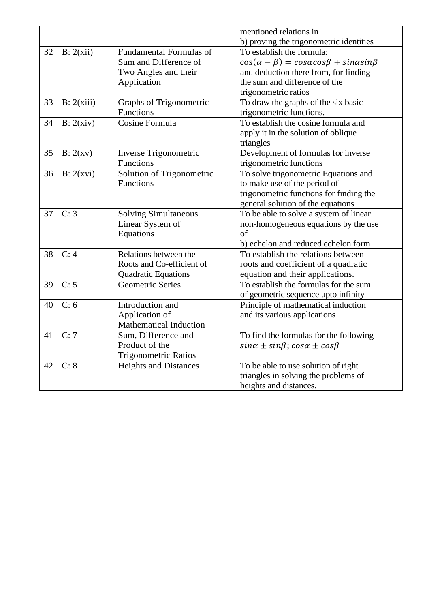|    |            |                                | mentioned relations in                                          |
|----|------------|--------------------------------|-----------------------------------------------------------------|
|    |            |                                | b) proving the trigonometric identities                         |
| 32 | B: 2(xii)  | <b>Fundamental Formulas of</b> | To establish the formula:                                       |
|    |            | Sum and Difference of          | $cos(\alpha - \beta) = cos\alpha cos\beta + sin\alpha sin\beta$ |
|    |            | Two Angles and their           | and deduction there from, for finding                           |
|    |            | Application                    | the sum and difference of the                                   |
|    |            |                                | trigonometric ratios                                            |
| 33 | B: 2(xiii) | Graphs of Trigonometric        | To draw the graphs of the six basic                             |
|    |            | Functions                      | trigonometric functions.                                        |
| 34 | B: 2(xiv)  | Cosine Formula                 | To establish the cosine formula and                             |
|    |            |                                | apply it in the solution of oblique                             |
|    |            |                                | triangles                                                       |
| 35 | B: 2(xv)   | Inverse Trigonometric          | Development of formulas for inverse                             |
|    |            | Functions                      | trigonometric functions                                         |
| 36 | B: 2(xvi)  | Solution of Trigonometric      | To solve trigonometric Equations and                            |
|    |            | Functions                      | to make use of the period of                                    |
|    |            |                                | trigonometric functions for finding the                         |
|    |            |                                | general solution of the equations                               |
| 37 | C: 3       | <b>Solving Simultaneous</b>    | To be able to solve a system of linear                          |
|    |            | Linear System of               | non-homogeneous equations by the use                            |
|    |            | Equations                      | $\sigma$ f                                                      |
|    |            |                                | b) echelon and reduced echelon form                             |
| 38 | C: 4       | Relations between the          | To establish the relations between                              |
|    |            | Roots and Co-efficient of      | roots and coefficient of a quadratic                            |
|    |            | <b>Quadratic Equations</b>     | equation and their applications.                                |
| 39 | C: 5       | <b>Geometric Series</b>        | To establish the formulas for the sum                           |
|    |            |                                | of geometric sequence upto infinity                             |
| 40 | C: 6       | Introduction and               | Principle of mathematical induction                             |
|    |            | Application of                 | and its various applications                                    |
|    |            | Mathematical Induction         |                                                                 |
| 41 | C:7        | Sum, Difference and            | To find the formulas for the following                          |
|    |            | Product of the                 | $sin\alpha \pm sin\beta$ ; $cos\alpha \pm cos\beta$             |
|    |            | <b>Trigonometric Ratios</b>    |                                                                 |
| 42 | C: 8       | <b>Heights and Distances</b>   | To be able to use solution of right                             |
|    |            |                                | triangles in solving the problems of                            |
|    |            |                                | heights and distances.                                          |